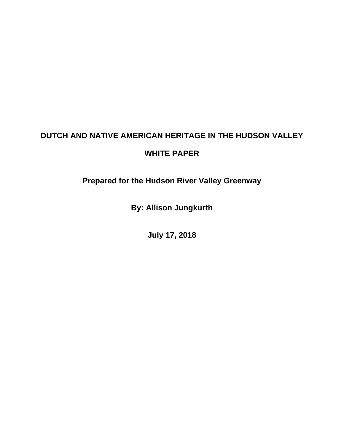# **DUTCH AND NATIVE AMERICAN HERITAGE IN THE HUDSON VALLEY**

# **WHITE PAPER**

**Prepared for the Hudson River Valley Greenway**

**By: Allison Jungkurth**

**July 17, 2018**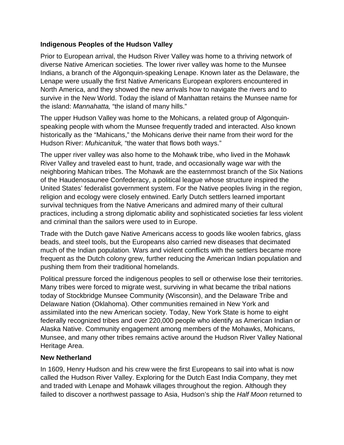#### **Indigenous Peoples of the Hudson Valley**

Prior to European arrival, the Hudson River Valley was home to a thriving network of diverse Native American societies. The lower river valley was home to the Munsee Indians, a branch of the Algonquin-speaking Lenape. Known later as the Delaware, the Lenape were usually the first Native Americans European explorers encountered in North America, and they showed the new arrivals how to navigate the rivers and to survive in the New World. Today the island of Manhattan retains the Munsee name for the island: *Mannahatta,* "the island of many hills."

The upper Hudson Valley was home to the Mohicans, a related group of Algonquinspeaking people with whom the Munsee frequently traded and interacted. Also known historically as the "Mahicans," the Mohicans derive their name from their word for the Hudson River: *Muhicanituk,* "the water that flows both ways."

The upper river valley was also home to the Mohawk tribe, who lived in the Mohawk River Valley and traveled east to hunt, trade, and occasionally wage war with the neighboring Mahican tribes. The Mohawk are the easternmost branch of the Six Nations of the Haudenosaunee Confederacy, a political league whose structure inspired the United States' federalist government system. For the Native peoples living in the region, religion and ecology were closely entwined. Early Dutch settlers learned important survival techniques from the Native Americans and admired many of their cultural practices, including a strong diplomatic ability and sophisticated societies far less violent and criminal than the sailors were used to in Europe.

Trade with the Dutch gave Native Americans access to goods like woolen fabrics, glass beads, and steel tools, but the Europeans also carried new diseases that decimated much of the Indian population. Wars and violent conflicts with the settlers became more frequent as the Dutch colony grew, further reducing the American Indian population and pushing them from their traditional homelands.

Political pressure forced the indigenous peoples to sell or otherwise lose their territories. Many tribes were forced to migrate west, surviving in what became the tribal nations today of Stockbridge Munsee Community (Wisconsin), and the Delaware Tribe and Delaware Nation (Oklahoma). Other communities remained in New York and assimilated into the new American society. Today, New York State is home to eight federally recognized tribes and over 220,000 people who identify as American Indian or Alaska Native. Community engagement among members of the Mohawks, Mohicans, Munsee, and many other tribes remains active around the Hudson River Valley National Heritage Area.

#### **New Netherland**

In 1609, Henry Hudson and his crew were the first Europeans to sail into what is now called the Hudson River Valley. Exploring for the Dutch East India Company, they met and traded with Lenape and Mohawk villages throughout the region. Although they failed to discover a northwest passage to Asia, Hudson's ship the *Half Moon* returned to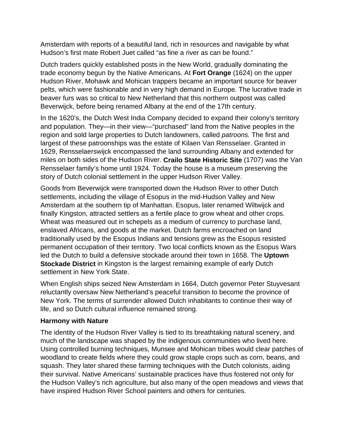Amsterdam with reports of a beautiful land, rich in resources and navigable by what Hudson's first mate Robert Juet called "as fine a river as can be found."

Dutch traders quickly established posts in the New World, gradually dominating the trade economy begun by the Native Americans. At **Fort Orange** (1624) on the upper Hudson River, Mohawk and Mohican trappers became an important source for beaver pelts, which were fashionable and in very high demand in Europe. The lucrative trade in beaver furs was so critical to New Netherland that this northern outpost was called Beverwijck, before being renamed Albany at the end of the 17th century.

In the 1620's, the Dutch West India Company decided to expand their colony's territory and population. They—in their view—"purchased" land from the Native peoples in the region and sold large properties to Dutch landowners, called *patroons.* The first and largest of these patroonships was the estate of Kilaen Van Rensselaer. Granted in 1629, Rensselaerswijck encompassed the land surrounding Albany and extended for miles on both sides of the Hudson River. **Crailo State Historic Site** (1707) was the Van Rensselaer family's home until 1924. Today the house is a museum preserving the story of Dutch colonial settlement in the upper Hudson River Valley.

Goods from Beverwijck were transported down the Hudson River to other Dutch settlements, including the village of Esopus in the mid-Hudson Valley and New Amsterdam at the southern tip of Manhattan. Esopus, later renamed Wiltwijck and finally Kingston, attracted settlers as a fertile place to grow wheat and other crops. Wheat was measured out in schepels as a medium of currency to purchase land, enslaved Africans, and goods at the market. Dutch farms encroached on land traditionally used by the Esopus Indians and tensions grew as the Esopus resisted permanent occupation of their territory. Two local conflicts known as the Esopus Wars led the Dutch to build a defensive stockade around their town in 1658. The **Uptown Stockade District** in Kingston is the largest remaining example of early Dutch settlement in New York State.

When English ships seized New Amsterdam in 1664, Dutch governor Peter Stuyvesant reluctantly oversaw New Netherland's peaceful transition to become the province of New York. The terms of surrender allowed Dutch inhabitants to continue their way of life, and so Dutch cultural influence remained strong.

#### **Harmony with Nature**

The identity of the Hudson River Valley is tied to its breathtaking natural scenery, and much of the landscape was shaped by the indigenous communities who lived here. Using controlled burning techniques, Munsee and Mohican tribes would clear patches of woodland to create fields where they could grow staple crops such as corn, beans, and squash. They later shared these farming techniques with the Dutch colonists, aiding their survival. Native Americans' sustainable practices have thus fostered not only for the Hudson Valley's rich agriculture, but also many of the open meadows and views that have inspired Hudson River School painters and others for centuries.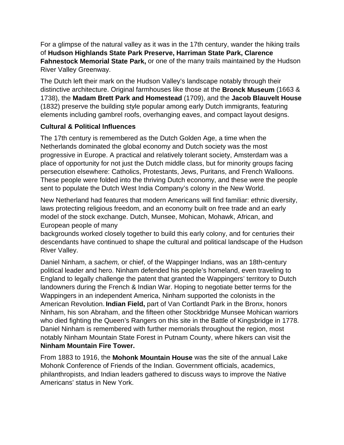For a glimpse of the natural valley as it was in the 17th century, wander the hiking trails of **Hudson Highlands State Park Preserve, Harriman State Park, Clarence Fahnestock Memorial State Park,** or one of the many trails maintained by the Hudson River Valley Greenway.

The Dutch left their mark on the Hudson Valley's landscape notably through their distinctive architecture. Original farmhouses like those at the **Bronck Museum** (1663 & 1738), the **Madam Brett Park and Homestead** (1709), and the **Jacob Blauvelt House** (1832) preserve the building style popular among early Dutch immigrants, featuring elements including gambrel roofs, overhanging eaves, and compact layout designs.

### **Cultural & Political Influences**

The 17th century is remembered as the Dutch Golden Age, a time when the Netherlands dominated the global economy and Dutch society was the most progressive in Europe. A practical and relatively tolerant society, Amsterdam was a place of opportunity for not just the Dutch middle class, but for minority groups facing persecution elsewhere: Catholics, Protestants, Jews, Puritans, and French Walloons. These people were folded into the thriving Dutch economy, and these were the people sent to populate the Dutch West India Company's colony in the New World.

New Netherland had features that modern Americans will find familiar: ethnic diversity, laws protecting religious freedom, and an economy built on free trade and an early model of the stock exchange. Dutch, Munsee, Mohican, Mohawk, African, and European people of many

backgrounds worked closely together to build this early colony, and for centuries their descendants have continued to shape the cultural and political landscape of the Hudson River Valley.

Daniel Ninham, a *sachem,* or chief, of the Wappinger Indians, was an 18th-century political leader and hero. Ninham defended his people's homeland, even traveling to England to legally challenge the patent that granted the Wappingers' territory to Dutch landowners during the French & Indian War. Hoping to negotiate better terms for the Wappingers in an independent America, Ninham supported the colonists in the American Revolution. **Indian Field,** part of Van Cortlandt Park in the Bronx, honors Ninham, his son Abraham, and the fifteen other Stockbridge Munsee Mohican warriors who died fighting the Queen's Rangers on this site in the Battle of Kingsbridge in 1778. Daniel Ninham is remembered with further memorials throughout the region, most notably Ninham Mountain State Forest in Putnam County, where hikers can visit the **Ninham Mountain Fire Tower.**

From 1883 to 1916, the **Mohonk Mountain House** was the site of the annual Lake Mohonk Conference of Friends of the Indian. Government officials, academics, philanthropists, and Indian leaders gathered to discuss ways to improve the Native Americans' status in New York.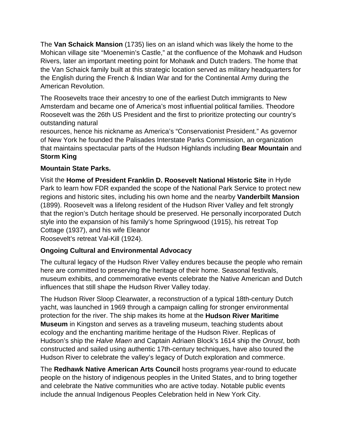The **Van Schaick Mansion** (1735) lies on an island which was likely the home to the Mohican village site "Moenemin's Castle," at the confluence of the Mohawk and Hudson Rivers, later an important meeting point for Mohawk and Dutch traders. The home that the Van Schaick family built at this strategic location served as military headquarters for the English during the French & Indian War and for the Continental Army during the American Revolution.

The Roosevelts trace their ancestry to one of the earliest Dutch immigrants to New Amsterdam and became one of America's most influential political families. Theodore Roosevelt was the 26th US President and the first to prioritize protecting our country's outstanding natural

resources, hence his nickname as America's "Conservationist President." As governor of New York he founded the Palisades Interstate Parks Commission, an organization that maintains spectacular parts of the Hudson Highlands including **Bear Mountain** and **Storm King** 

### **Mountain State Parks.**

Visit the **Home of President Franklin D. Roosevelt National Historic Site** in Hyde Park to learn how FDR expanded the scope of the National Park Service to protect new regions and historic sites, including his own home and the nearby **Vanderbilt Mansion** (1899). Roosevelt was a lifelong resident of the Hudson River Valley and felt strongly that the region's Dutch heritage should be preserved. He personally incorporated Dutch style into the expansion of his family's home Springwood (1915), his retreat Top Cottage (1937), and his wife Eleanor

Roosevelt's retreat Val-Kill (1924).

# **Ongoing Cultural and Environmental Advocacy**

The cultural legacy of the Hudson River Valley endures because the people who remain here are committed to preserving the heritage of their home. Seasonal festivals, museum exhibits, and commemorative events celebrate the Native American and Dutch influences that still shape the Hudson River Valley today.

The Hudson River Sloop Clearwater, a reconstruction of a typical 18th-century Dutch yacht, was launched in 1969 through a campaign calling for stronger environmental protection for the river. The ship makes its home at the **Hudson River Maritime Museum** in Kingston and serves as a traveling museum, teaching students about ecology and the enchanting maritime heritage of the Hudson River. Replicas of Hudson's ship the *Halve Maen* and Captain Adriaen Block's 1614 ship the *Onrust*, both constructed and sailed using authentic 17th-century techniques, have also toured the Hudson River to celebrate the valley's legacy of Dutch exploration and commerce.

The **Redhawk Native American Arts Council** hosts programs year-round to educate people on the history of indigenous peoples in the United States, and to bring together and celebrate the Native communities who are active today. Notable public events include the annual Indigenous Peoples Celebration held in New York City.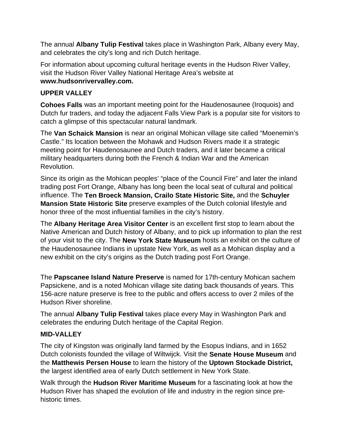The annual **Albany Tulip Festival** takes place in Washington Park, Albany every May, and celebrates the city's long and rich Dutch heritage.

For information about upcoming cultural heritage events in the Hudson River Valley, visit the Hudson River Valley National Heritage Area's website at **www.hudsonrivervalley.com.**

### **UPPER VALLEY**

**Cohoes Falls** was an important meeting point for the Haudenosaunee (Iroquois) and Dutch fur traders, and today the adjacent Falls View Park is a popular site for visitors to catch a glimpse of this spectacular natural landmark.

The **Van Schaick Mansion** is near an original Mohican village site called "Moenemin's Castle." Its location between the Mohawk and Hudson Rivers made it a strategic meeting point for Haudenosaunee and Dutch traders, and it later became a critical military headquarters during both the French & Indian War and the American Revolution.

Since its origin as the Mohican peoples' "place of the Council Fire" and later the inland trading post Fort Orange, Albany has long been the local seat of cultural and political influence. The **Ten Broeck Mansion, Crailo State Historic Site,** and the **Schuyler Mansion State Historic Site** preserve examples of the Dutch colonial lifestyle and honor three of the most influential families in the city's history.

The **Albany Heritage Area Visitor Center** is an excellent first stop to learn about the Native American and Dutch history of Albany, and to pick up information to plan the rest of your visit to the city. The **New York State Museum** hosts an exhibit on the culture of the Haudenosaunee Indians in upstate New York, as well as a Mohican display and a new exhibit on the city's origins as the Dutch trading post Fort Orange.

The **Papscanee Island Nature Preserve** is named for 17th-century Mohican sachem Papsickene, and is a noted Mohican village site dating back thousands of years. This 156-acre nature preserve is free to the public and offers access to over 2 miles of the Hudson River shoreline.

The annual **Albany Tulip Festival** takes place every May in Washington Park and celebrates the enduring Dutch heritage of the Capital Region.

# **MID-VALLEY**

The city of Kingston was originally land farmed by the Esopus Indians, and in 1652 Dutch colonists founded the village of Wiltwijck. Visit the **Senate House Museum** and the **Matthewis Persen House** to learn the history of the **Uptown Stockade District,** the largest identified area of early Dutch settlement in New York State.

Walk through the **Hudson River Maritime Museum** for a fascinating look at how the Hudson River has shaped the evolution of life and industry in the region since prehistoric times.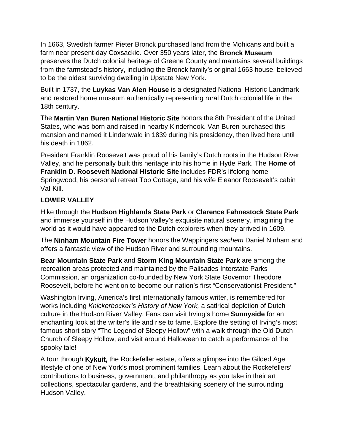In 1663, Swedish farmer Pieter Bronck purchased land from the Mohicans and built a farm near present-day Coxsackie. Over 350 years later, the **Bronck Museum** preserves the Dutch colonial heritage of Greene County and maintains several buildings from the farmstead's history, including the Bronck family's original 1663 house, believed to be the oldest surviving dwelling in Upstate New York.

Built in 1737, the **Luykas Van Alen House** is a designated National Historic Landmark and restored home museum authentically representing rural Dutch colonial life in the 18th century.

The **Martin Van Buren National Historic Site** honors the 8th President of the United States, who was born and raised in nearby Kinderhook. Van Buren purchased this mansion and named it Lindenwald in 1839 during his presidency, then lived here until his death in 1862.

President Franklin Roosevelt was proud of his family's Dutch roots in the Hudson River Valley, and he personally built this heritage into his home in Hyde Park. The **Home of Franklin D. Roosevelt National Historic Site** includes FDR's lifelong home Springwood, his personal retreat Top Cottage, and his wife Eleanor Roosevelt's cabin Val-Kill.

# **LOWER VALLEY**

Hike through the **Hudson Highlands State Park** or **Clarence Fahnestock State Park** and immerse yourself in the Hudson Valley's exquisite natural scenery, imagining the world as it would have appeared to the Dutch explorers when they arrived in 1609.

The **Ninham Mountain Fire Tower** honors the Wappingers *sachem* Daniel Ninham and offers a fantastic view of the Hudson River and surrounding mountains.

**Bear Mountain State Park** and **Storm King Mountain State Park** are among the recreation areas protected and maintained by the Palisades Interstate Parks Commission, an organization co-founded by New York State Governor Theodore Roosevelt, before he went on to become our nation's first "Conservationist President."

Washington Irving, America's first internationally famous writer, is remembered for works including *Knickerbocker's History of New York,* a satirical depiction of Dutch culture in the Hudson River Valley. Fans can visit Irving's home **Sunnyside** for an enchanting look at the writer's life and rise to fame. Explore the setting of Irving's most famous short story "The Legend of Sleepy Hollow" with a walk through the Old Dutch Church of Sleepy Hollow, and visit around Halloween to catch a performance of the spooky tale!

A tour through **Kykuit,** the Rockefeller estate, offers a glimpse into the Gilded Age lifestyle of one of New York's most prominent families. Learn about the Rockefellers' contributions to business, government, and philanthropy as you take in their art collections, spectacular gardens, and the breathtaking scenery of the surrounding Hudson Valley.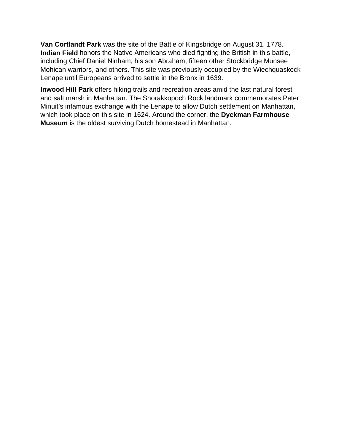**Van Cortlandt Park** was the site of the Battle of Kingsbridge on August 31, 1778. **Indian Field** honors the Native Americans who died fighting the British in this battle, including Chief Daniel Ninham, his son Abraham, fifteen other Stockbridge Munsee Mohican warriors, and others. This site was previously occupied by the Wiechquaskeck Lenape until Europeans arrived to settle in the Bronx in 1639.

**Inwood Hill Park** offers hiking trails and recreation areas amid the last natural forest and salt marsh in Manhattan. The Shorakkopoch Rock landmark commemorates Peter Minuit's infamous exchange with the Lenape to allow Dutch settlement on Manhattan, which took place on this site in 1624. Around the corner, the **Dyckman Farmhouse Museum** is the oldest surviving Dutch homestead in Manhattan.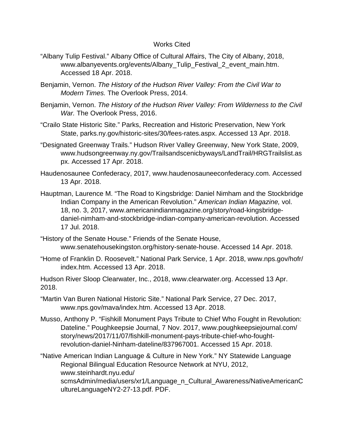#### Works Cited

- "Albany Tulip Festival." Albany Office of Cultural Affairs, The City of Albany, 2018, www.albanyevents.org/events/Albany\_Tulip\_Festival\_2\_event\_main.htm. Accessed 18 Apr. 2018.
- Benjamin, Vernon. *The History of the Hudson River Valley: From the Civil War to Modern Times.* The Overlook Press, 2014.
- Benjamin, Vernon. *The History of the Hudson River Valley: From Wilderness to the Civil War.* The Overlook Press, 2016.
- "Crailo State Historic Site." Parks, Recreation and Historic Preservation, New York State, parks.ny.gov/historic-sites/30/fees-rates.aspx. Accessed 13 Apr. 2018.
- "Designated Greenway Trails." Hudson River Valley Greenway, New York State, 2009, www.hudsongreenway.ny.gov/Trailsandscenicbyways/LandTrail/HRGTrailslist.as px. Accessed 17 Apr. 2018.
- Haudenosaunee Confederacy, 2017, www.haudenosauneeconfederacy.com. Accessed 13 Apr. 2018.
- Hauptman, Laurence M. "The Road to Kingsbridge: Daniel Nimham and the Stockbridge Indian Company in the American Revolution." *American Indian Magazine,* vol. 18, no. 3, 2017, www.americanindianmagazine.org/story/road-kingsbridgedaniel-nimham-and-stockbridge-indian-company-american-revolution. Accessed 17 Jul. 2018.
- "History of the Senate House." Friends of the Senate House, www.senatehousekingston.org/history-senate-house. Accessed 14 Apr. 2018.
- "Home of Franklin D. Roosevelt." National Park Service, 1 Apr. 2018, www.nps.gov/hofr/ index.htm. Accessed 13 Apr. 2018.

Hudson River Sloop Clearwater, Inc., 2018, www.clearwater.org. Accessed 13 Apr. 2018.

- "Martin Van Buren National Historic Site." National Park Service, 27 Dec. 2017, www.nps.gov/mava/index.htm. Accessed 13 Apr. 2018.
- Musso, Anthony P. "Fishkill Monument Pays Tribute to Chief Who Fought in Revolution: Dateline." Poughkeepsie Journal, 7 Nov. 2017, www.poughkeepsiejournal.com/ story/news/2017/11/07/fishkill-monument-pays-tribute-chief-who-foughtrevolution-daniel-Ninham-dateline/837967001. Accessed 15 Apr. 2018.
- "Native American Indian Language & Culture in New York." NY Statewide Language Regional Bilingual Education Resource Network at NYU, 2012, www.steinhardt.nyu.edu/ scmsAdmin/media/users/xr1/Language\_n\_Cultural\_Awareness/NativeAmericanC ultureLanguageNY2-27-13.pdf. PDF.